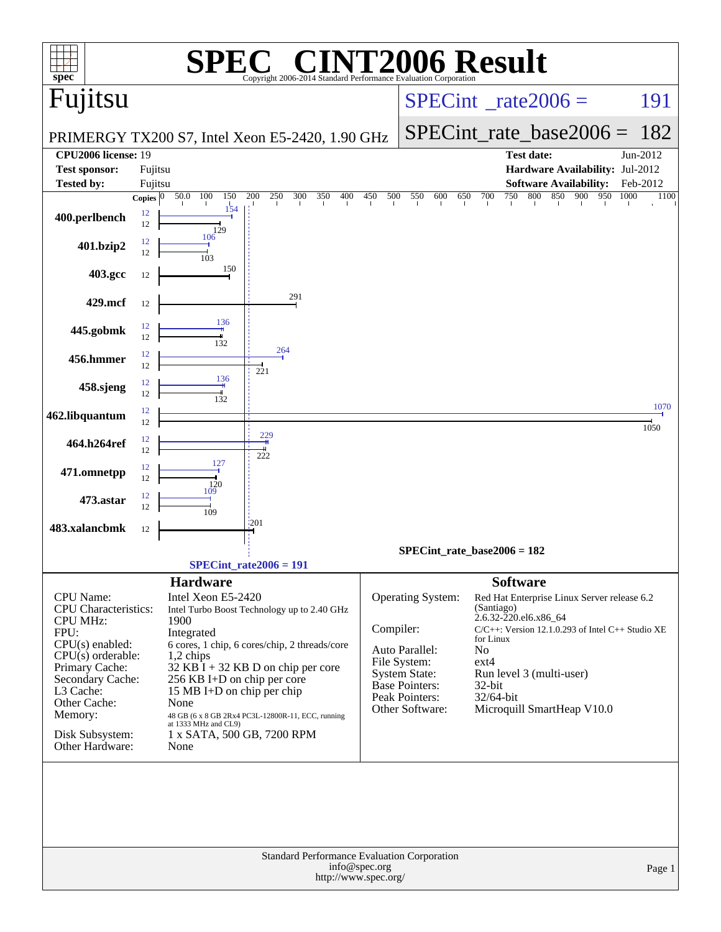| $spec*$                                                                                                                                                                                                                                    |                          |                                                                                                                                                                                                             | $\blacksquare$<br>Copyright 2006-2014 Standard Performance E                                                                                                                              |            |                                                                                                                                           | <b>INT2006 Result</b>                                                                                                                                                                                                                                                          |              |
|--------------------------------------------------------------------------------------------------------------------------------------------------------------------------------------------------------------------------------------------|--------------------------|-------------------------------------------------------------------------------------------------------------------------------------------------------------------------------------------------------------|-------------------------------------------------------------------------------------------------------------------------------------------------------------------------------------------|------------|-------------------------------------------------------------------------------------------------------------------------------------------|--------------------------------------------------------------------------------------------------------------------------------------------------------------------------------------------------------------------------------------------------------------------------------|--------------|
| Fujitsu                                                                                                                                                                                                                                    |                          |                                                                                                                                                                                                             |                                                                                                                                                                                           |            |                                                                                                                                           | $SPECint^{\circ}$ rate $2006 =$                                                                                                                                                                                                                                                | 191          |
|                                                                                                                                                                                                                                            |                          |                                                                                                                                                                                                             | PRIMERGY TX200 S7, Intel Xeon E5-2420, 1.90 GHz                                                                                                                                           |            |                                                                                                                                           | $SPECint_rate\_base2006 =$                                                                                                                                                                                                                                                     | 182          |
| <b>CPU2006 license: 19</b>                                                                                                                                                                                                                 |                          |                                                                                                                                                                                                             |                                                                                                                                                                                           |            |                                                                                                                                           | <b>Test date:</b>                                                                                                                                                                                                                                                              | Jun-2012     |
| <b>Test sponsor:</b>                                                                                                                                                                                                                       | Fujitsu                  |                                                                                                                                                                                                             |                                                                                                                                                                                           |            |                                                                                                                                           | Hardware Availability: Jul-2012                                                                                                                                                                                                                                                |              |
| Tested by:                                                                                                                                                                                                                                 | Fujitsu                  |                                                                                                                                                                                                             |                                                                                                                                                                                           |            |                                                                                                                                           | <b>Software Availability:</b>                                                                                                                                                                                                                                                  | Feb-2012     |
| 400.perlbench                                                                                                                                                                                                                              | Copies $ 0 $<br>12<br>12 | 50.0<br>100<br>150<br>154<br>129                                                                                                                                                                            | 200<br>300<br>250<br>350<br>400                                                                                                                                                           | 500<br>450 | 550<br>600<br>650                                                                                                                         | 950<br>700<br>750<br>800<br>850<br>900                                                                                                                                                                                                                                         | 1000<br>1100 |
| 401.bzip2                                                                                                                                                                                                                                  | 12<br>12                 | 106<br>103                                                                                                                                                                                                  |                                                                                                                                                                                           |            |                                                                                                                                           |                                                                                                                                                                                                                                                                                |              |
| 403.gcc                                                                                                                                                                                                                                    | 12                       | 150                                                                                                                                                                                                         |                                                                                                                                                                                           |            |                                                                                                                                           |                                                                                                                                                                                                                                                                                |              |
| 429.mcf                                                                                                                                                                                                                                    | 12                       |                                                                                                                                                                                                             | 291                                                                                                                                                                                       |            |                                                                                                                                           |                                                                                                                                                                                                                                                                                |              |
| 445.gobmk                                                                                                                                                                                                                                  | 12<br>12                 | 136<br>132                                                                                                                                                                                                  |                                                                                                                                                                                           |            |                                                                                                                                           |                                                                                                                                                                                                                                                                                |              |
| 456.hmmer                                                                                                                                                                                                                                  | 12<br>12                 |                                                                                                                                                                                                             | 264<br>221                                                                                                                                                                                |            |                                                                                                                                           |                                                                                                                                                                                                                                                                                |              |
| 458.sjeng                                                                                                                                                                                                                                  | 12<br>12                 | 136<br>132                                                                                                                                                                                                  |                                                                                                                                                                                           |            |                                                                                                                                           |                                                                                                                                                                                                                                                                                |              |
| 462.libquantum                                                                                                                                                                                                                             | 12<br>12                 |                                                                                                                                                                                                             |                                                                                                                                                                                           |            |                                                                                                                                           |                                                                                                                                                                                                                                                                                | 1070<br>1050 |
| 464.h264ref                                                                                                                                                                                                                                | 12<br>12                 |                                                                                                                                                                                                             | 229<br>222                                                                                                                                                                                |            |                                                                                                                                           |                                                                                                                                                                                                                                                                                |              |
| 471.omnetpp                                                                                                                                                                                                                                | 12<br>12                 | 127<br>120                                                                                                                                                                                                  |                                                                                                                                                                                           |            |                                                                                                                                           |                                                                                                                                                                                                                                                                                |              |
| 473.astar                                                                                                                                                                                                                                  | 12<br>12                 | 109<br>109                                                                                                                                                                                                  |                                                                                                                                                                                           |            |                                                                                                                                           |                                                                                                                                                                                                                                                                                |              |
| 483.xalancbmk                                                                                                                                                                                                                              | 12                       |                                                                                                                                                                                                             | '201                                                                                                                                                                                      |            |                                                                                                                                           |                                                                                                                                                                                                                                                                                |              |
|                                                                                                                                                                                                                                            |                          |                                                                                                                                                                                                             |                                                                                                                                                                                           |            |                                                                                                                                           | $SPECint_rate_base2006 = 182$                                                                                                                                                                                                                                                  |              |
|                                                                                                                                                                                                                                            |                          |                                                                                                                                                                                                             | $SPECint rate2006 = 191$                                                                                                                                                                  |            |                                                                                                                                           |                                                                                                                                                                                                                                                                                |              |
| <b>CPU</b> Name:<br><b>CPU</b> Characteristics:<br><b>CPU MHz:</b><br>FPU:<br>$CPU(s)$ enabled:<br>$CPU(s)$ orderable:<br>Primary Cache:<br>Secondary Cache:<br>L3 Cache:<br>Other Cache:<br>Memory:<br>Disk Subsystem:<br>Other Hardware: |                          | <b>Hardware</b><br>Intel Xeon E5-2420<br>1900<br>Integrated<br>1,2 chips<br>256 KB I+D on chip per core<br>15 MB I+D on chip per chip<br>None<br>at 1333 MHz and CL9)<br>1 x SATA, 500 GB, 7200 RPM<br>None | Intel Turbo Boost Technology up to 2.40 GHz<br>6 cores, 1 chip, 6 cores/chip, 2 threads/core<br>$32$ KB I + 32 KB D on chip per core<br>48 GB (6 x 8 GB 2Rx4 PC3L-12800R-11, ECC, running | Compiler:  | <b>Operating System:</b><br>Auto Parallel:<br>File System:<br>System State:<br><b>Base Pointers:</b><br>Peak Pointers:<br>Other Software: | <b>Software</b><br>Red Hat Enterprise Linux Server release 6.2<br>(Santiago)<br>2.6.32-220.el6.x86_64<br>$C/C++$ : Version 12.1.0.293 of Intel $C++$ Studio XE<br>for Linux<br>No<br>$ext{4}$<br>Run level 3 (multi-user)<br>32-bit<br>32/64-bit<br>Microquill SmartHeap V10.0 |              |
| <b>Standard Performance Evaluation Corporation</b><br>info@spec.org<br>Page 1<br>http://www.spec.org/                                                                                                                                      |                          |                                                                                                                                                                                                             |                                                                                                                                                                                           |            |                                                                                                                                           |                                                                                                                                                                                                                                                                                |              |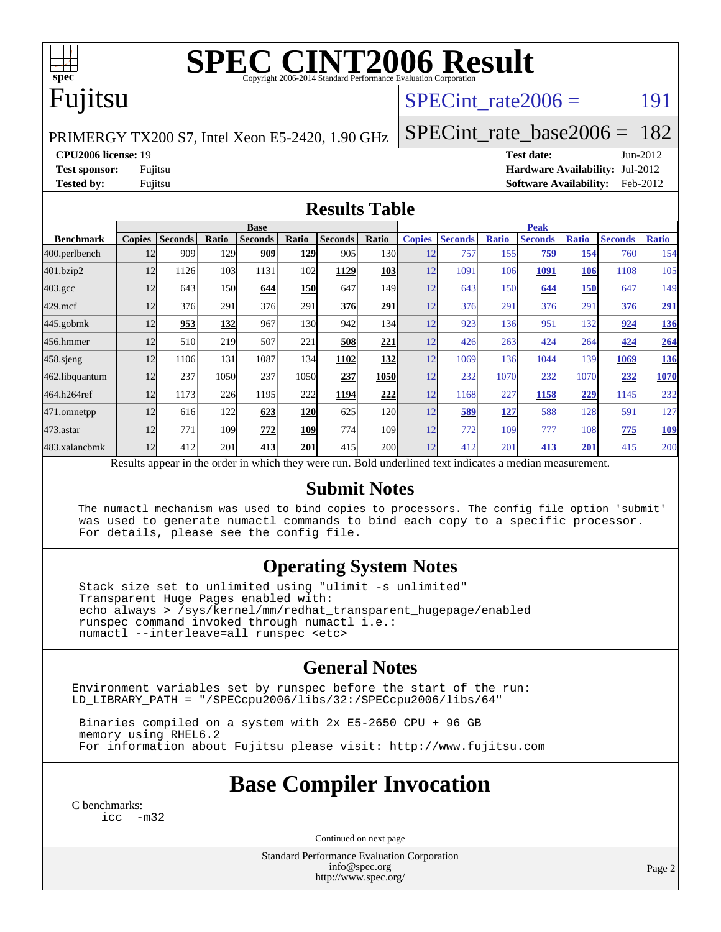

# **[SPEC CINT2006 Result](http://www.spec.org/auto/cpu2006/Docs/result-fields.html#SPECCINT2006Result)**

## Fujitsu

#### SPECint rate $2006 =$  191

PRIMERGY TX200 S7, Intel Xeon E5-2420, 1.90 GHz

**[Test sponsor:](http://www.spec.org/auto/cpu2006/Docs/result-fields.html#Testsponsor)** Fujitsu **[Hardware Availability:](http://www.spec.org/auto/cpu2006/Docs/result-fields.html#HardwareAvailability)** Jul-2012

**[Tested by:](http://www.spec.org/auto/cpu2006/Docs/result-fields.html#Testedby)** Fujitsu **[Software Availability:](http://www.spec.org/auto/cpu2006/Docs/result-fields.html#SoftwareAvailability)** Feb-2012

[SPECint\\_rate\\_base2006 =](http://www.spec.org/auto/cpu2006/Docs/result-fields.html#SPECintratebase2006) 182 **[CPU2006 license:](http://www.spec.org/auto/cpu2006/Docs/result-fields.html#CPU2006license)** 19 **[Test date:](http://www.spec.org/auto/cpu2006/Docs/result-fields.html#Testdate)** Jun-2012

**[Results Table](http://www.spec.org/auto/cpu2006/Docs/result-fields.html#ResultsTable)**

|                    | <b>Base</b>                                                                                              |                |       |                |            |                |                  | <b>Peak</b>   |                |              |                |              |                |              |
|--------------------|----------------------------------------------------------------------------------------------------------|----------------|-------|----------------|------------|----------------|------------------|---------------|----------------|--------------|----------------|--------------|----------------|--------------|
| <b>Benchmark</b>   | <b>Copies</b>                                                                                            | <b>Seconds</b> | Ratio | <b>Seconds</b> | Ratio      | <b>Seconds</b> | Ratio            | <b>Copies</b> | <b>Seconds</b> | <b>Ratio</b> | <b>Seconds</b> | <b>Ratio</b> | <b>Seconds</b> | <b>Ratio</b> |
| 400.perlbench      | 12                                                                                                       | 909            | 129   | 909            | 129        | 905            | 130l             | 12            | 757            | 155          | 759            | 154          | 760            | 154          |
| 401.bzip2          | 12                                                                                                       | 1126           | 103   | 1131           | 102        | 1129           | <b>103</b>       | 12            | 1091           | 106          | 1091           | 106          | 1108           | 105          |
| $403.\mathrm{gcc}$ | 12                                                                                                       | 643            | 150   | 644            | <b>150</b> | 647            | 149I             | 12            | 643            | 150          | 644            | <b>150</b>   | 647            | 149          |
| $429$ .mcf         | 12                                                                                                       | 376            | 291   | 376            | 291        | 376            | 291              | 12            | 376            | 291          | 376            | 291          | 376            | <u>291</u>   |
| $445$ .gobm $k$    | 12                                                                                                       | 953            | 132   | 967            | 130        | 942            | 134              | 12            | 923            | 136          | 951            | 132          | 924            | <u>136</u>   |
| 456.hmmer          | 12                                                                                                       | 510            | 219   | 507            | 221        | 508            | 221              | 12            | 426            | 263          | 424            | 264          | 424            | <b>264</b>   |
| $458$ .sjeng       | 12                                                                                                       | 1106           | 131   | 1087           | 134        | 1102           | 132              | 12            | 1069           | 136          | 1044           | 139          | 1069           | 136          |
| 462.libquantum     | 12                                                                                                       | 237            | 1050  | 237            | 1050       | 237            | 1050             | 12            | 232            | 1070         | 232            | 1070         | 232            | 1070         |
| 464.h264ref        | 12                                                                                                       | 1173           | 226   | 1195           | 222        | 1194           | 222              | 12            | 1168           | 227          | 1158           | 229          | 1145           | 232          |
| 471.omnetpp        | 12                                                                                                       | 616            | 122   | 623            | 120        | 625            | <b>120</b>       | 12            | 589            | 127          | 588            | 128          | 591            | 127          |
| $473$ . astar      | 12                                                                                                       | 771            | 109   | 772            | 109        | 774            | 109 <sub>1</sub> | 12            | 772            | 109          | 777            | 108          | 775            | <u>109</u>   |
| 483.xalancbmk      | 12                                                                                                       | 412            | 201   | 413            | 201        | 415            | 200              | 12            | 412            | 201          | 413            | 201          | 415            | 200          |
|                    | Results appear in the order in which they were run. Bold underlined text indicates a median measurement. |                |       |                |            |                |                  |               |                |              |                |              |                |              |

#### **[Submit Notes](http://www.spec.org/auto/cpu2006/Docs/result-fields.html#SubmitNotes)**

 The numactl mechanism was used to bind copies to processors. The config file option 'submit' was used to generate numactl commands to bind each copy to a specific processor. For details, please see the config file.

#### **[Operating System Notes](http://www.spec.org/auto/cpu2006/Docs/result-fields.html#OperatingSystemNotes)**

 Stack size set to unlimited using "ulimit -s unlimited" Transparent Huge Pages enabled with: echo always > /sys/kernel/mm/redhat\_transparent\_hugepage/enabled runspec command invoked through numactl i.e.: numactl --interleave=all runspec <etc>

#### **[General Notes](http://www.spec.org/auto/cpu2006/Docs/result-fields.html#GeneralNotes)**

Environment variables set by runspec before the start of the run: LD\_LIBRARY\_PATH = "/SPECcpu2006/libs/32:/SPECcpu2006/libs/64"

 Binaries compiled on a system with 2x E5-2650 CPU + 96 GB memory using RHEL6.2 For information about Fujitsu please visit: <http://www.fujitsu.com>

#### **[Base Compiler Invocation](http://www.spec.org/auto/cpu2006/Docs/result-fields.html#BaseCompilerInvocation)**

[C benchmarks](http://www.spec.org/auto/cpu2006/Docs/result-fields.html#Cbenchmarks): [icc -m32](http://www.spec.org/cpu2006/results/res2012q3/cpu2006-20120810-24159.flags.html#user_CCbase_intel_icc_5ff4a39e364c98233615fdd38438c6f2)

Continued on next page

Standard Performance Evaluation Corporation [info@spec.org](mailto:info@spec.org) <http://www.spec.org/>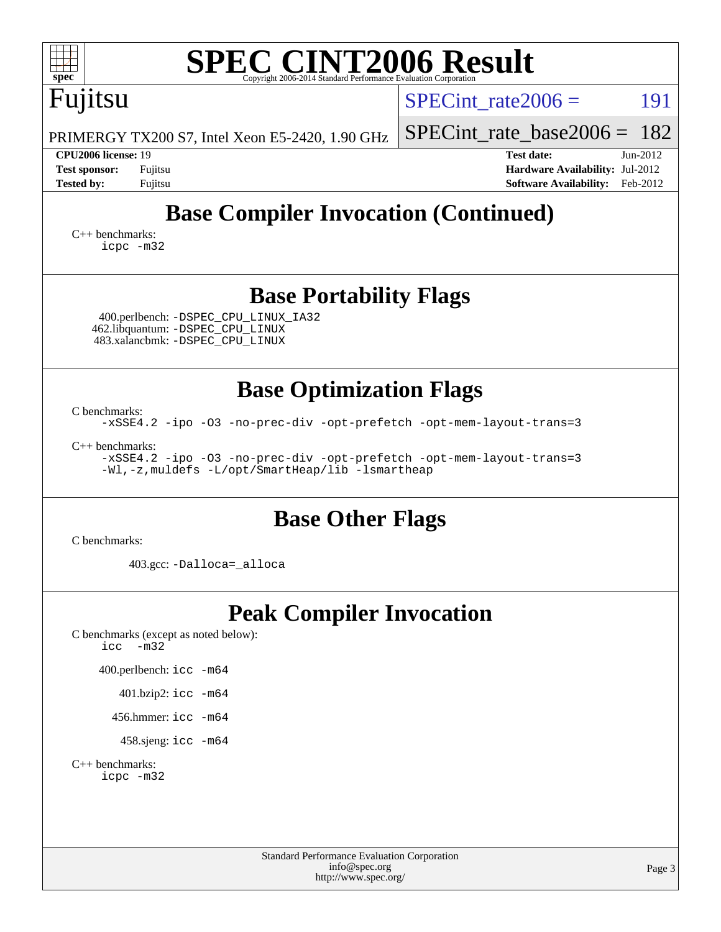| <b>SPEC CINT2006 Result</b><br>$spec^*$<br>Copyright 2006-2014 Standard Performance Evaluation Corporation                                                                                                                                                                  |                                                                                                                 |
|-----------------------------------------------------------------------------------------------------------------------------------------------------------------------------------------------------------------------------------------------------------------------------|-----------------------------------------------------------------------------------------------------------------|
| Fujitsu                                                                                                                                                                                                                                                                     | SPECint rate $2006 =$<br>191                                                                                    |
| PRIMERGY TX200 S7, Intel Xeon E5-2420, 1.90 GHz                                                                                                                                                                                                                             | 182<br>$SPECint$ rate_base2006 =                                                                                |
| CPU2006 license: 19<br><b>Test sponsor:</b><br>Fujitsu<br><b>Tested by:</b><br>Fujitsu                                                                                                                                                                                      | <b>Test date:</b><br>$Jun-2012$<br>Hardware Availability: Jul-2012<br><b>Software Availability:</b><br>Feb-2012 |
| <b>Base Compiler Invocation (Continued)</b><br>$C_{++}$ benchmarks:<br>icpc -m32                                                                                                                                                                                            |                                                                                                                 |
| <b>Base Portability Flags</b><br>400.perlbench: -DSPEC_CPU_LINUX_IA32<br>462.libquantum: - DSPEC_CPU_LINUX<br>483.xalancbmk: - DSPEC CPU LINUX                                                                                                                              |                                                                                                                 |
| <b>Base Optimization Flags</b><br>C benchmarks:<br>-xSSE4.2 -ipo -03 -no-prec-div -opt-prefetch -opt-mem-layout-trans=3<br>$C_{++}$ benchmarks:<br>-xSSE4.2 -ipo -03 -no-prec-div -opt-prefetch -opt-mem-layout-trans=3<br>-Wl,-z, muldefs -L/opt/SmartHeap/lib -lsmartheap |                                                                                                                 |
| <b>Base Other Flags</b><br>C benchmarks:                                                                                                                                                                                                                                    |                                                                                                                 |
| 403.gcc: -Dalloca=_alloca                                                                                                                                                                                                                                                   |                                                                                                                 |
| <b>Peak Compiler Invocation</b><br>C benchmarks (except as noted below):<br>$-m32$<br>icc<br>400.perlbench: icc -m64<br>401.bzip2: icc -m64<br>456.hmmer: $\text{icc}$ -m64<br>458.sjeng: icc -m64<br>$C_{++}$ benchmarks:<br>icpc -m32                                     |                                                                                                                 |
| <b>Standard Performance Evaluation Corporation</b><br>info@spec.org<br>http://www.spec.org/                                                                                                                                                                                 | Page 3                                                                                                          |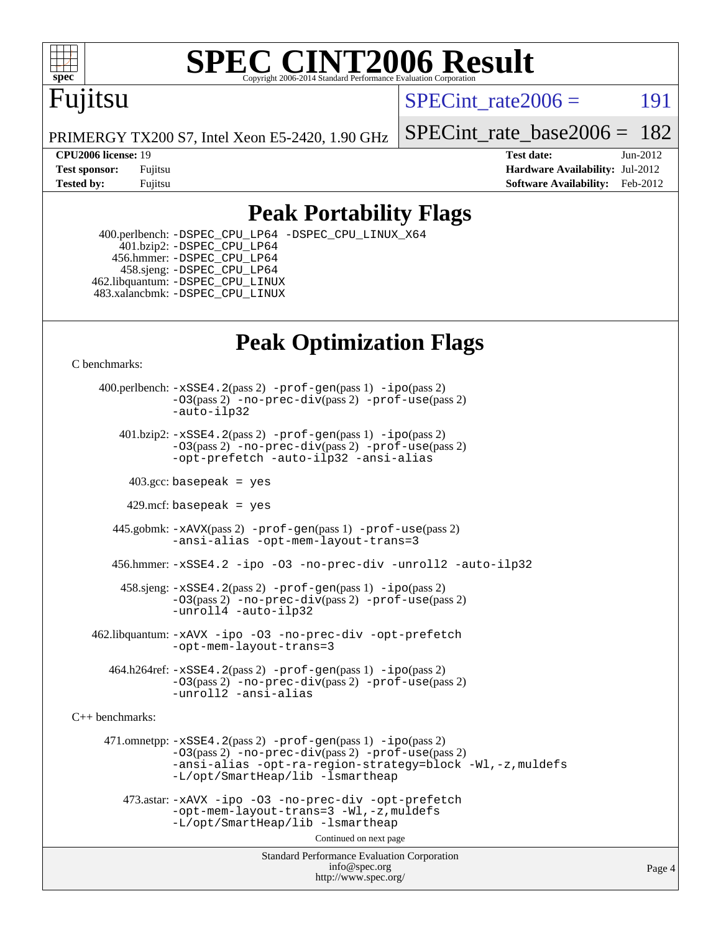

# **[SPEC CINT2006 Result](http://www.spec.org/auto/cpu2006/Docs/result-fields.html#SPECCINT2006Result)**

## Fujitsu

SPECint rate $2006 =$  191

PRIMERGY TX200 S7, Intel Xeon E5-2420, 1.90 GHz

[SPECint\\_rate\\_base2006 =](http://www.spec.org/auto/cpu2006/Docs/result-fields.html#SPECintratebase2006) 182

**[CPU2006 license:](http://www.spec.org/auto/cpu2006/Docs/result-fields.html#CPU2006license)** 19 **[Test date:](http://www.spec.org/auto/cpu2006/Docs/result-fields.html#Testdate)** Jun-2012 **[Test sponsor:](http://www.spec.org/auto/cpu2006/Docs/result-fields.html#Testsponsor)** Fujitsu **[Hardware Availability:](http://www.spec.org/auto/cpu2006/Docs/result-fields.html#HardwareAvailability)** Jul-2012 **[Tested by:](http://www.spec.org/auto/cpu2006/Docs/result-fields.html#Testedby)** Fujitsu **Fugital Example 2012 [Software Availability:](http://www.spec.org/auto/cpu2006/Docs/result-fields.html#SoftwareAvailability)** Feb-2012

#### **[Peak Portability Flags](http://www.spec.org/auto/cpu2006/Docs/result-fields.html#PeakPortabilityFlags)**

 400.perlbench: [-DSPEC\\_CPU\\_LP64](http://www.spec.org/cpu2006/results/res2012q3/cpu2006-20120810-24159.flags.html#b400.perlbench_peakCPORTABILITY_DSPEC_CPU_LP64) [-DSPEC\\_CPU\\_LINUX\\_X64](http://www.spec.org/cpu2006/results/res2012q3/cpu2006-20120810-24159.flags.html#b400.perlbench_peakCPORTABILITY_DSPEC_CPU_LINUX_X64)  $401.bzip2: -DSPEC_CPULP64$  456.hmmer: [-DSPEC\\_CPU\\_LP64](http://www.spec.org/cpu2006/results/res2012q3/cpu2006-20120810-24159.flags.html#suite_peakCPORTABILITY456_hmmer_DSPEC_CPU_LP64) 458.sjeng: [-DSPEC\\_CPU\\_LP64](http://www.spec.org/cpu2006/results/res2012q3/cpu2006-20120810-24159.flags.html#suite_peakCPORTABILITY458_sjeng_DSPEC_CPU_LP64) 462.libquantum: [-DSPEC\\_CPU\\_LINUX](http://www.spec.org/cpu2006/results/res2012q3/cpu2006-20120810-24159.flags.html#b462.libquantum_peakCPORTABILITY_DSPEC_CPU_LINUX) 483.xalancbmk: [-DSPEC\\_CPU\\_LINUX](http://www.spec.org/cpu2006/results/res2012q3/cpu2006-20120810-24159.flags.html#b483.xalancbmk_peakCXXPORTABILITY_DSPEC_CPU_LINUX)

## **[Peak Optimization Flags](http://www.spec.org/auto/cpu2006/Docs/result-fields.html#PeakOptimizationFlags)**

[C benchmarks](http://www.spec.org/auto/cpu2006/Docs/result-fields.html#Cbenchmarks):

 400.perlbench: [-xSSE4.2](http://www.spec.org/cpu2006/results/res2012q3/cpu2006-20120810-24159.flags.html#user_peakPASS2_CFLAGSPASS2_LDCFLAGS400_perlbench_f-xSSE42_f91528193cf0b216347adb8b939d4107)(pass 2) [-prof-gen](http://www.spec.org/cpu2006/results/res2012q3/cpu2006-20120810-24159.flags.html#user_peakPASS1_CFLAGSPASS1_LDCFLAGS400_perlbench_prof_gen_e43856698f6ca7b7e442dfd80e94a8fc)(pass 1) [-ipo](http://www.spec.org/cpu2006/results/res2012q3/cpu2006-20120810-24159.flags.html#user_peakPASS2_CFLAGSPASS2_LDCFLAGS400_perlbench_f-ipo)(pass 2) [-O3](http://www.spec.org/cpu2006/results/res2012q3/cpu2006-20120810-24159.flags.html#user_peakPASS2_CFLAGSPASS2_LDCFLAGS400_perlbench_f-O3)(pass 2) [-no-prec-div](http://www.spec.org/cpu2006/results/res2012q3/cpu2006-20120810-24159.flags.html#user_peakPASS2_CFLAGSPASS2_LDCFLAGS400_perlbench_f-no-prec-div)(pass 2) [-prof-use](http://www.spec.org/cpu2006/results/res2012q3/cpu2006-20120810-24159.flags.html#user_peakPASS2_CFLAGSPASS2_LDCFLAGS400_perlbench_prof_use_bccf7792157ff70d64e32fe3e1250b55)(pass 2) [-auto-ilp32](http://www.spec.org/cpu2006/results/res2012q3/cpu2006-20120810-24159.flags.html#user_peakCOPTIMIZE400_perlbench_f-auto-ilp32)  $401.bzip2: -xSSE4.2(pass 2) -prof-qen(pass 1) -ipo(pass 2)$  $401.bzip2: -xSSE4.2(pass 2) -prof-qen(pass 1) -ipo(pass 2)$  $401.bzip2: -xSSE4.2(pass 2) -prof-qen(pass 1) -ipo(pass 2)$  $401.bzip2: -xSSE4.2(pass 2) -prof-qen(pass 1) -ipo(pass 2)$  $401.bzip2: -xSSE4.2(pass 2) -prof-qen(pass 1) -ipo(pass 2)$ [-O3](http://www.spec.org/cpu2006/results/res2012q3/cpu2006-20120810-24159.flags.html#user_peakPASS2_CFLAGSPASS2_LDCFLAGS401_bzip2_f-O3)(pass 2) [-no-prec-div](http://www.spec.org/cpu2006/results/res2012q3/cpu2006-20120810-24159.flags.html#user_peakPASS2_CFLAGSPASS2_LDCFLAGS401_bzip2_f-no-prec-div)(pass 2) [-prof-use](http://www.spec.org/cpu2006/results/res2012q3/cpu2006-20120810-24159.flags.html#user_peakPASS2_CFLAGSPASS2_LDCFLAGS401_bzip2_prof_use_bccf7792157ff70d64e32fe3e1250b55)(pass 2) [-opt-prefetch](http://www.spec.org/cpu2006/results/res2012q3/cpu2006-20120810-24159.flags.html#user_peakCOPTIMIZE401_bzip2_f-opt-prefetch) [-auto-ilp32](http://www.spec.org/cpu2006/results/res2012q3/cpu2006-20120810-24159.flags.html#user_peakCOPTIMIZE401_bzip2_f-auto-ilp32) [-ansi-alias](http://www.spec.org/cpu2006/results/res2012q3/cpu2006-20120810-24159.flags.html#user_peakCOPTIMIZE401_bzip2_f-ansi-alias)  $403.\text{sec: basepeak}$  = yes 429.mcf: basepeak = yes 445.gobmk: [-xAVX](http://www.spec.org/cpu2006/results/res2012q3/cpu2006-20120810-24159.flags.html#user_peakPASS2_CFLAGSPASS2_LDCFLAGS445_gobmk_f-xAVX)(pass 2) [-prof-gen](http://www.spec.org/cpu2006/results/res2012q3/cpu2006-20120810-24159.flags.html#user_peakPASS1_CFLAGSPASS1_LDCFLAGS445_gobmk_prof_gen_e43856698f6ca7b7e442dfd80e94a8fc)(pass 1) [-prof-use](http://www.spec.org/cpu2006/results/res2012q3/cpu2006-20120810-24159.flags.html#user_peakPASS2_CFLAGSPASS2_LDCFLAGS445_gobmk_prof_use_bccf7792157ff70d64e32fe3e1250b55)(pass 2) [-ansi-alias](http://www.spec.org/cpu2006/results/res2012q3/cpu2006-20120810-24159.flags.html#user_peakCOPTIMIZE445_gobmk_f-ansi-alias) [-opt-mem-layout-trans=3](http://www.spec.org/cpu2006/results/res2012q3/cpu2006-20120810-24159.flags.html#user_peakCOPTIMIZE445_gobmk_f-opt-mem-layout-trans_a7b82ad4bd7abf52556d4961a2ae94d5) 456.hmmer: [-xSSE4.2](http://www.spec.org/cpu2006/results/res2012q3/cpu2006-20120810-24159.flags.html#user_peakCOPTIMIZE456_hmmer_f-xSSE42_f91528193cf0b216347adb8b939d4107) [-ipo](http://www.spec.org/cpu2006/results/res2012q3/cpu2006-20120810-24159.flags.html#user_peakCOPTIMIZE456_hmmer_f-ipo) [-O3](http://www.spec.org/cpu2006/results/res2012q3/cpu2006-20120810-24159.flags.html#user_peakCOPTIMIZE456_hmmer_f-O3) [-no-prec-div](http://www.spec.org/cpu2006/results/res2012q3/cpu2006-20120810-24159.flags.html#user_peakCOPTIMIZE456_hmmer_f-no-prec-div) [-unroll2](http://www.spec.org/cpu2006/results/res2012q3/cpu2006-20120810-24159.flags.html#user_peakCOPTIMIZE456_hmmer_f-unroll_784dae83bebfb236979b41d2422d7ec2) [-auto-ilp32](http://www.spec.org/cpu2006/results/res2012q3/cpu2006-20120810-24159.flags.html#user_peakCOPTIMIZE456_hmmer_f-auto-ilp32) 458.sjeng: [-xSSE4.2](http://www.spec.org/cpu2006/results/res2012q3/cpu2006-20120810-24159.flags.html#user_peakPASS2_CFLAGSPASS2_LDCFLAGS458_sjeng_f-xSSE42_f91528193cf0b216347adb8b939d4107)(pass 2) [-prof-gen](http://www.spec.org/cpu2006/results/res2012q3/cpu2006-20120810-24159.flags.html#user_peakPASS1_CFLAGSPASS1_LDCFLAGS458_sjeng_prof_gen_e43856698f6ca7b7e442dfd80e94a8fc)(pass 1) [-ipo](http://www.spec.org/cpu2006/results/res2012q3/cpu2006-20120810-24159.flags.html#user_peakPASS2_CFLAGSPASS2_LDCFLAGS458_sjeng_f-ipo)(pass 2) [-O3](http://www.spec.org/cpu2006/results/res2012q3/cpu2006-20120810-24159.flags.html#user_peakPASS2_CFLAGSPASS2_LDCFLAGS458_sjeng_f-O3)(pass 2) [-no-prec-div](http://www.spec.org/cpu2006/results/res2012q3/cpu2006-20120810-24159.flags.html#user_peakPASS2_CFLAGSPASS2_LDCFLAGS458_sjeng_f-no-prec-div)(pass 2) [-prof-use](http://www.spec.org/cpu2006/results/res2012q3/cpu2006-20120810-24159.flags.html#user_peakPASS2_CFLAGSPASS2_LDCFLAGS458_sjeng_prof_use_bccf7792157ff70d64e32fe3e1250b55)(pass 2) [-unroll4](http://www.spec.org/cpu2006/results/res2012q3/cpu2006-20120810-24159.flags.html#user_peakCOPTIMIZE458_sjeng_f-unroll_4e5e4ed65b7fd20bdcd365bec371b81f) [-auto-ilp32](http://www.spec.org/cpu2006/results/res2012q3/cpu2006-20120810-24159.flags.html#user_peakCOPTIMIZE458_sjeng_f-auto-ilp32) 462.libquantum: [-xAVX](http://www.spec.org/cpu2006/results/res2012q3/cpu2006-20120810-24159.flags.html#user_peakCOPTIMIZE462_libquantum_f-xAVX) [-ipo](http://www.spec.org/cpu2006/results/res2012q3/cpu2006-20120810-24159.flags.html#user_peakCOPTIMIZE462_libquantum_f-ipo) [-O3](http://www.spec.org/cpu2006/results/res2012q3/cpu2006-20120810-24159.flags.html#user_peakCOPTIMIZE462_libquantum_f-O3) [-no-prec-div](http://www.spec.org/cpu2006/results/res2012q3/cpu2006-20120810-24159.flags.html#user_peakCOPTIMIZE462_libquantum_f-no-prec-div) [-opt-prefetch](http://www.spec.org/cpu2006/results/res2012q3/cpu2006-20120810-24159.flags.html#user_peakCOPTIMIZE462_libquantum_f-opt-prefetch) [-opt-mem-layout-trans=3](http://www.spec.org/cpu2006/results/res2012q3/cpu2006-20120810-24159.flags.html#user_peakCOPTIMIZE462_libquantum_f-opt-mem-layout-trans_a7b82ad4bd7abf52556d4961a2ae94d5)

 $464.h264$ ref:  $-xSSE4$ .  $2(pass 2)$  [-prof-gen](http://www.spec.org/cpu2006/results/res2012q3/cpu2006-20120810-24159.flags.html#user_peakPASS1_CFLAGSPASS1_LDCFLAGS464_h264ref_prof_gen_e43856698f6ca7b7e442dfd80e94a8fc) $(pass 1)$  [-ipo](http://www.spec.org/cpu2006/results/res2012q3/cpu2006-20120810-24159.flags.html#user_peakPASS2_CFLAGSPASS2_LDCFLAGS464_h264ref_f-ipo) $(pass 2)$ [-O3](http://www.spec.org/cpu2006/results/res2012q3/cpu2006-20120810-24159.flags.html#user_peakPASS2_CFLAGSPASS2_LDCFLAGS464_h264ref_f-O3)(pass 2) [-no-prec-div](http://www.spec.org/cpu2006/results/res2012q3/cpu2006-20120810-24159.flags.html#user_peakPASS2_CFLAGSPASS2_LDCFLAGS464_h264ref_f-no-prec-div)(pass 2) [-prof-use](http://www.spec.org/cpu2006/results/res2012q3/cpu2006-20120810-24159.flags.html#user_peakPASS2_CFLAGSPASS2_LDCFLAGS464_h264ref_prof_use_bccf7792157ff70d64e32fe3e1250b55)(pass 2) [-unroll2](http://www.spec.org/cpu2006/results/res2012q3/cpu2006-20120810-24159.flags.html#user_peakCOPTIMIZE464_h264ref_f-unroll_784dae83bebfb236979b41d2422d7ec2) [-ansi-alias](http://www.spec.org/cpu2006/results/res2012q3/cpu2006-20120810-24159.flags.html#user_peakCOPTIMIZE464_h264ref_f-ansi-alias)

[C++ benchmarks:](http://www.spec.org/auto/cpu2006/Docs/result-fields.html#CXXbenchmarks)

 471.omnetpp: [-xSSE4.2](http://www.spec.org/cpu2006/results/res2012q3/cpu2006-20120810-24159.flags.html#user_peakPASS2_CXXFLAGSPASS2_LDCXXFLAGS471_omnetpp_f-xSSE42_f91528193cf0b216347adb8b939d4107)(pass 2) [-prof-gen](http://www.spec.org/cpu2006/results/res2012q3/cpu2006-20120810-24159.flags.html#user_peakPASS1_CXXFLAGSPASS1_LDCXXFLAGS471_omnetpp_prof_gen_e43856698f6ca7b7e442dfd80e94a8fc)(pass 1) [-ipo](http://www.spec.org/cpu2006/results/res2012q3/cpu2006-20120810-24159.flags.html#user_peakPASS2_CXXFLAGSPASS2_LDCXXFLAGS471_omnetpp_f-ipo)(pass 2) [-O3](http://www.spec.org/cpu2006/results/res2012q3/cpu2006-20120810-24159.flags.html#user_peakPASS2_CXXFLAGSPASS2_LDCXXFLAGS471_omnetpp_f-O3)(pass 2) [-no-prec-div](http://www.spec.org/cpu2006/results/res2012q3/cpu2006-20120810-24159.flags.html#user_peakPASS2_CXXFLAGSPASS2_LDCXXFLAGS471_omnetpp_f-no-prec-div)(pass 2) [-prof-use](http://www.spec.org/cpu2006/results/res2012q3/cpu2006-20120810-24159.flags.html#user_peakPASS2_CXXFLAGSPASS2_LDCXXFLAGS471_omnetpp_prof_use_bccf7792157ff70d64e32fe3e1250b55)(pass 2) [-ansi-alias](http://www.spec.org/cpu2006/results/res2012q3/cpu2006-20120810-24159.flags.html#user_peakCXXOPTIMIZE471_omnetpp_f-ansi-alias) [-opt-ra-region-strategy=block](http://www.spec.org/cpu2006/results/res2012q3/cpu2006-20120810-24159.flags.html#user_peakCXXOPTIMIZE471_omnetpp_f-opt-ra-region-strategy_a0a37c372d03933b2a18d4af463c1f69) [-Wl,-z,muldefs](http://www.spec.org/cpu2006/results/res2012q3/cpu2006-20120810-24159.flags.html#user_peakEXTRA_LDFLAGS471_omnetpp_link_force_multiple1_74079c344b956b9658436fd1b6dd3a8a) [-L/opt/SmartHeap/lib -lsmartheap](http://www.spec.org/cpu2006/results/res2012q3/cpu2006-20120810-24159.flags.html#user_peakEXTRA_LIBS471_omnetpp_SmartHeap_1046f488ce4b4d9d2689b01742ccb999)

 473.astar: [-xAVX](http://www.spec.org/cpu2006/results/res2012q3/cpu2006-20120810-24159.flags.html#user_peakCXXOPTIMIZE473_astar_f-xAVX) [-ipo](http://www.spec.org/cpu2006/results/res2012q3/cpu2006-20120810-24159.flags.html#user_peakCXXOPTIMIZE473_astar_f-ipo) [-O3](http://www.spec.org/cpu2006/results/res2012q3/cpu2006-20120810-24159.flags.html#user_peakCXXOPTIMIZE473_astar_f-O3) [-no-prec-div](http://www.spec.org/cpu2006/results/res2012q3/cpu2006-20120810-24159.flags.html#user_peakCXXOPTIMIZE473_astar_f-no-prec-div) [-opt-prefetch](http://www.spec.org/cpu2006/results/res2012q3/cpu2006-20120810-24159.flags.html#user_peakCXXOPTIMIZE473_astar_f-opt-prefetch) [-opt-mem-layout-trans=3](http://www.spec.org/cpu2006/results/res2012q3/cpu2006-20120810-24159.flags.html#user_peakCXXOPTIMIZE473_astar_f-opt-mem-layout-trans_a7b82ad4bd7abf52556d4961a2ae94d5) [-Wl,-z,muldefs](http://www.spec.org/cpu2006/results/res2012q3/cpu2006-20120810-24159.flags.html#user_peakEXTRA_LDFLAGS473_astar_link_force_multiple1_74079c344b956b9658436fd1b6dd3a8a) [-L/opt/SmartHeap/lib -lsmartheap](http://www.spec.org/cpu2006/results/res2012q3/cpu2006-20120810-24159.flags.html#user_peakEXTRA_LIBS473_astar_SmartHeap_1046f488ce4b4d9d2689b01742ccb999)

Continued on next page

Standard Performance Evaluation Corporation [info@spec.org](mailto:info@spec.org) <http://www.spec.org/>